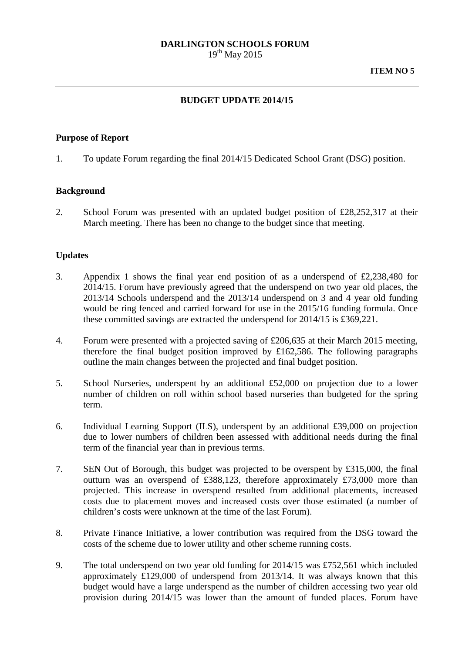# **DARLINGTON SCHOOLS FORUM**

 $19^{th}$  May 2015

## **BUDGET UPDATE 2014/15**

#### **Purpose of Report**

1. To update Forum regarding the final 2014/15 Dedicated School Grant (DSG) position.

### **Background**

2. School Forum was presented with an updated budget position of £28,252,317 at their March meeting. There has been no change to the budget since that meeting.

### **Updates**

- 3. Appendix 1 shows the final year end position of as a underspend of £2,238,480 for 2014/15. Forum have previously agreed that the underspend on two year old places, the 2013/14 Schools underspend and the 2013/14 underspend on 3 and 4 year old funding would be ring fenced and carried forward for use in the 2015/16 funding formula. Once these committed savings are extracted the underspend for 2014/15 is £369,221.
- 4. Forum were presented with a projected saving of £206,635 at their March 2015 meeting, therefore the final budget position improved by £162,586. The following paragraphs outline the main changes between the projected and final budget position.
- 5. School Nurseries, underspent by an additional £52,000 on projection due to a lower number of children on roll within school based nurseries than budgeted for the spring term.
- 6. Individual Learning Support (ILS), underspent by an additional £39,000 on projection due to lower numbers of children been assessed with additional needs during the final term of the financial year than in previous terms.
- 7. SEN Out of Borough, this budget was projected to be overspent by £315,000, the final outturn was an overspend of £388,123, therefore approximately £73,000 more than projected. This increase in overspend resulted from additional placements, increased costs due to placement moves and increased costs over those estimated (a number of children's costs were unknown at the time of the last Forum).
- 8. Private Finance Initiative, a lower contribution was required from the DSG toward the costs of the scheme due to lower utility and other scheme running costs.
- 9. The total underspend on two year old funding for 2014/15 was £752,561 which included approximately £129,000 of underspend from 2013/14. It was always known that this budget would have a large underspend as the number of children accessing two year old provision during 2014/15 was lower than the amount of funded places. Forum have